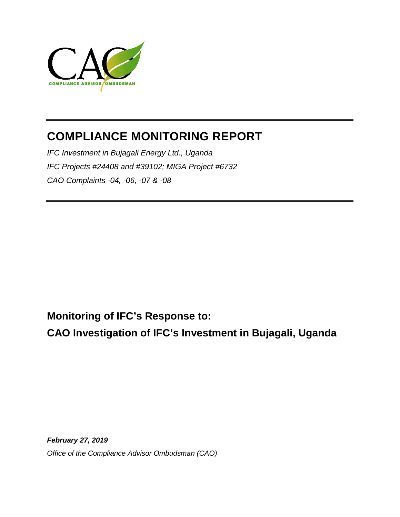

# **COMPLIANCE MONITORING REPORT**

*IFC Investment in Bujagali Energy Ltd., Uganda IFC Projects #24408 and #39102; MIGA Project #6732 CAO Complaints -04, -06, -07 & -08*

**Monitoring of IFC's Response to:**

**CAO Investigation of IFC's Investment in Bujagali, Uganda**

*February 27, 2019 Office of the Compliance Advisor Ombudsman (CAO)*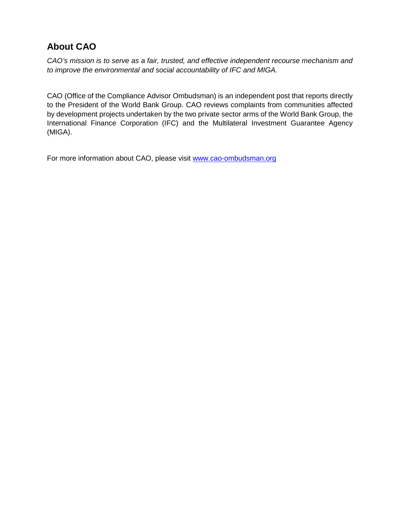### **About CAO**

*CAO's mission is to serve as a fair, trusted, and effective independent recourse mechanism and to improve the environmental and social accountability of IFC and MIGA.*

CAO (Office of the Compliance Advisor Ombudsman) is an independent post that reports directly to the President of the World Bank Group. CAO reviews complaints from communities affected by development projects undertaken by the two private sector arms of the World Bank Group, the International Finance Corporation (IFC) and the Multilateral Investment Guarantee Agency (MIGA).

For more information about CAO, please visit [www.cao-ombudsman.org](http://www.cao-ombudsman.org/)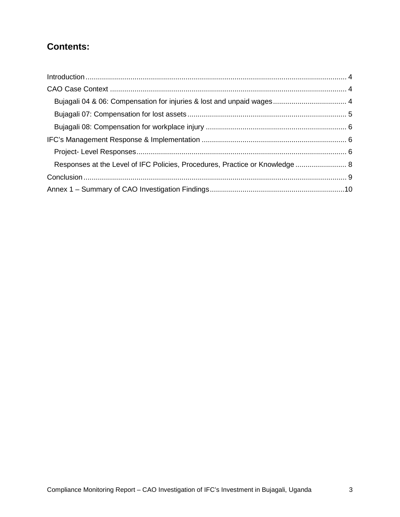### **Contents:**

| Responses at the Level of IFC Policies, Procedures, Practice or Knowledge 8 |  |
|-----------------------------------------------------------------------------|--|
|                                                                             |  |
|                                                                             |  |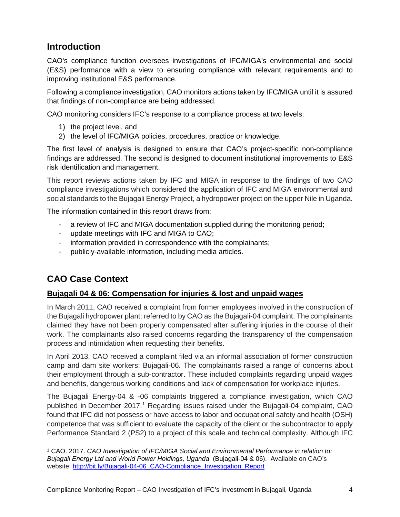### <span id="page-3-0"></span>**Introduction**

CAO's compliance function oversees investigations of IFC/MIGA's environmental and social (E&S) performance with a view to ensuring compliance with relevant requirements and to improving institutional E&S performance.

Following a compliance investigation, CAO monitors actions taken by IFC/MIGA until it is assured that findings of non-compliance are being addressed.

CAO monitoring considers IFC's response to a compliance process at two levels:

- 1) the project level, and
- 2) the level of IFC/MIGA policies, procedures, practice or knowledge.

The first level of analysis is designed to ensure that CAO's project-specific non-compliance findings are addressed. The second is designed to document institutional improvements to E&S risk identification and management.

This report reviews actions taken by IFC and MIGA in response to the findings of two CAO compliance investigations which considered the application of IFC and MIGA environmental and social standards to the Bujagali Energy Project, a hydropower project on the upper Nile in Uganda.

The information contained in this report draws from:

- a review of IFC and MIGA documentation supplied during the monitoring period;
- update meetings with IFC and MIGA to CAO;
- information provided in correspondence with the complainants;
- publicly-available information, including media articles.

### <span id="page-3-1"></span>**CAO Case Context**

#### <span id="page-3-2"></span>**Bujagali 04 & 06: Compensation for injuries & lost and unpaid wages**

In March 2011, CAO received a complaint from former employees involved in the construction of the Bujagali hydropower plant: referred to by CAO as the Bujagali-04 complaint. The complainants claimed they have not been properly compensated after suffering injuries in the course of their work. The complainants also raised concerns regarding the transparency of the compensation process and intimidation when requesting their benefits.

In April 2013, CAO received a complaint filed via an informal association of former construction camp and dam site workers: Bujagali-06. The complainants raised a range of concerns about their employment through a sub-contractor. These included complaints regarding unpaid wages and benefits, dangerous working conditions and lack of compensation for workplace injuries.

The Bujagali Energy-04 & -06 complaints triggered a compliance investigation, which CAO published in December 20[1](#page-3-3)7.<sup>1</sup> Regarding issues raised under the Bujagali-04 complaint, CAO found that IFC did not possess or have access to labor and occupational safety and health (OSH) competence that was sufficient to evaluate the capacity of the client or the subcontractor to apply Performance Standard 2 (PS2) to a project of this scale and technical complexity. Although IFC

<span id="page-3-3"></span>l <sup>1</sup> CAO. 2017. *CAO Investigation of IFC/MIGA Social and Environmental Performance in relation to: Bujagali Energy Ltd and World Power Holdings, Uganda* (Bujagali-04 & 06). Available on CAO's website: [http://bit.ly/Bujagali-04-06\\_CAO-Compliance\\_Investigation\\_Report](http://bit.ly/Bujagali-04-06_CAO-Compliance_Investigation_Report)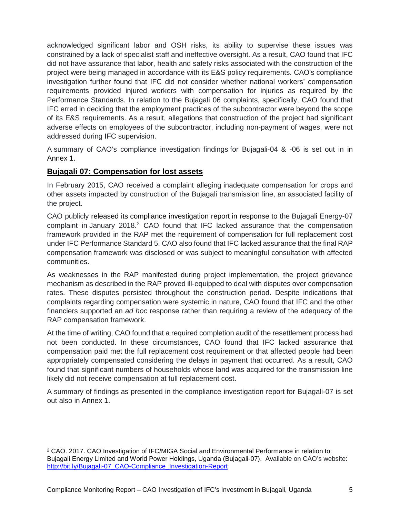acknowledged significant labor and OSH risks, its ability to supervise these issues was constrained by a lack of specialist staff and ineffective oversight. As a result, CAO found that IFC did not have assurance that labor, health and safety risks associated with the construction of the project were being managed in accordance with its E&S policy requirements. CAO's compliance investigation further found that IFC did not consider whether national workers' compensation requirements provided injured workers with compensation for injuries as required by the Performance Standards. In relation to the Bujagali 06 complaints, specifically, CAO found that IFC erred in deciding that the employment practices of the subcontractor were beyond the scope of its E&S requirements. As a result, allegations that construction of the project had significant adverse effects on employees of the subcontractor, including non-payment of wages, were not addressed during IFC supervision.

A summary of CAO's compliance investigation findings for Bujagali-04 & -06 is set out in in Annex 1.

#### <span id="page-4-0"></span>**Bujagali 07: Compensation for lost assets**

l

In February 2015, CAO received a complaint alleging inadequate compensation for crops and other assets impacted by construction of the Bujagali transmission line, an associated facility of the project.

CAO publicly released its [compliance investigation report](http://www.cao-ombudsman.org/cases/document-links/documents/CAOInvestigationReportBujagaliEnergyLimited-Bujagali07.pdf) in response to the Bujagali Energy-07 complaint in January [2](#page-4-1)018.<sup>2</sup> CAO found that IFC lacked assurance that the compensation framework provided in the RAP met the requirement of compensation for full replacement cost under IFC Performance Standard 5. CAO also found that IFC lacked assurance that the final RAP compensation framework was disclosed or was subject to meaningful consultation with affected communities.

As weaknesses in the RAP manifested during project implementation, the project grievance mechanism as described in the RAP proved ill-equipped to deal with disputes over compensation rates. These disputes persisted throughout the construction period. Despite indications that complaints regarding compensation were systemic in nature, CAO found that IFC and the other financiers supported an *ad hoc* response rather than requiring a review of the adequacy of the RAP compensation framework.

At the time of writing, CAO found that a required completion audit of the resettlement process had not been conducted. In these circumstances, CAO found that IFC lacked assurance that compensation paid met the full replacement cost requirement or that affected people had been appropriately compensated considering the delays in payment that occurred. As a result, CAO found that significant numbers of households whose land was acquired for the transmission line likely did not receive compensation at full replacement cost.

A summary of findings as presented in the compliance investigation report for Bujagali-07 is set out also in Annex 1.

<span id="page-4-1"></span><sup>2</sup> CAO. 2017. CAO Investigation of IFC/MIGA Social and Environmental Performance in relation to: Bujagali Energy Limited and World Power Holdings, Uganda (Bujagali-07). Available on CAO's website: [http://bit.ly/Bujagali-07\\_CAO-Compliance\\_Investigation-Report](http://bit.ly/Bujagali-07_CAO-Compliance_Investigation-Report)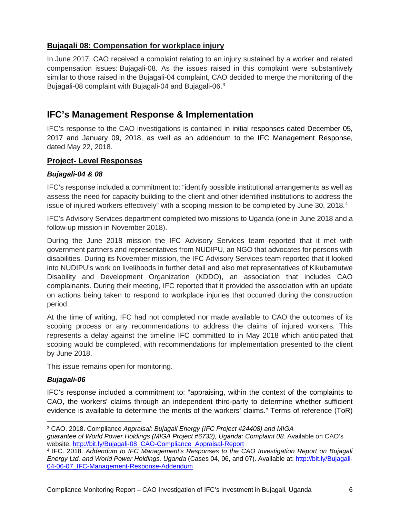#### <span id="page-5-0"></span>**Bujagali 08: Compensation for workplace injury**

In June 2017, CAO received a complaint relating to an injury sustained by a worker and related compensation issues: Bujagali-08. As the issues raised in this complaint were substantively similar to those raised in the Bujagali-04 complaint, CAO decided to merge the monitoring of the Bujagali-08 complaint with Bujagali-04 and Bujagali-06.[3](#page-5-3)

### <span id="page-5-1"></span>**IFC's Management Response & Implementation**

IFC's response to the CAO investigations is contained in initial responses dated December 05, 2017 and January 09, 2018, as well as an addendum to the IFC Management Response, dated May 22, 2018.

#### <span id="page-5-2"></span>**Project- Level Responses**

#### *Bujagali-04 & 08*

IFC's response included a commitment to: "identify possible institutional arrangements as well as assess the need for capacity building to the client and other identified institutions to address the issue of injured workers effectively" with a scoping mission to be completed by June 30, 2018.<sup>[4](#page-5-4)</sup>

IFC's Advisory Services department completed two missions to Uganda (one in June 2018 and a follow-up mission in November 2018).

During the June 2018 mission the IFC Advisory Services team reported that it met with government partners and representatives from NUDIPU, an NGO that advocates for persons with disabilities. During its November mission, the IFC Advisory Services team reported that it looked into NUDIPU's work on livelihoods in further detail and also met representatives of Kikubamutwe Disability and Development Organization (KDDO), an association that includes CAO complainants. During their meeting, IFC reported that it provided the association with an update on actions being taken to respond to workplace injuries that occurred during the construction period.

At the time of writing, IFC had not completed nor made available to CAO the outcomes of its scoping process or any recommendations to address the claims of injured workers. This represents a delay against the timeline IFC committed to in May 2018 which anticipated that scoping would be completed, with recommendations for implementation presented to the client by June 2018.

This issue remains open for monitoring.

#### *Bujagali-06*

 $\overline{a}$ 

IFC's response included a commitment to: "appraising, within the context of the complaints to CAO, the workers' claims through an independent third-party to determine whether sufficient evidence is available to determine the merits of the workers' claims." Terms of reference (ToR)

<span id="page-5-3"></span><sup>3</sup> CAO. 2018. Compliance *Appraisal: Bujagali Energy (IFC Project #24408) and MIGA guarantee of World Power Holdings (MIGA Project #6732), Uganda: Complaint 08.* Available on CAO's website: [http://bit.ly/Bujagali-08\\_CAO-Compliance\\_Appraisal-Report](http://bit.ly/Bujagali-08_CAO-Compliance_Appraisal-Report)

<span id="page-5-4"></span><sup>4</sup> IFC. 2018. *Addendum to IFC Management's Responses to the CAO Investigation Report on Bujagali Energy Ltd. and World Power Holdings, Uganda* (Cases 04, 06, and 07). Available at: [http://bit.ly/Bujagali-](http://bit.ly/Bujagali-04-06-07_IFC-Management-Response-Addendum)04-06-07 IFC-Management-Response-Addendum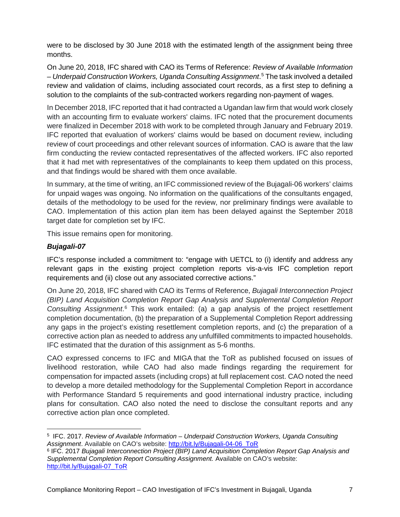were to be disclosed by 30 June 2018 with the estimated length of the assignment being three months.

On June 20, 2018, IFC shared with CAO its Terms of Reference: *Review of Available Information – Underpaid Construction Workers, Uganda Consulting Assignment*. [5](#page-6-0) The task involved a detailed review and validation of claims, including associated court records, as a first step to defining a solution to the complaints of the sub-contracted workers regarding non-payment of wages.

In December 2018, IFC reported that it had contracted a Ugandan law firm that would work closely with an accounting firm to evaluate workers' claims. IFC noted that the procurement documents were finalized in December 2018 with work to be completed through January and February 2019. IFC reported that evaluation of workers' claims would be based on document review, including review of court proceedings and other relevant sources of information. CAO is aware that the law firm conducting the review contacted representatives of the affected workers. IFC also reported that it had met with representatives of the complainants to keep them updated on this process, and that findings would be shared with them once available.

In summary, at the time of writing, an IFC commissioned review of the Bujagali-06 workers' claims for unpaid wages was ongoing. No information on the qualifications of the consultants engaged, details of the methodology to be used for the review, nor preliminary findings were available to CAO. Implementation of this action plan item has been delayed against the September 2018 target date for completion set by IFC.

This issue remains open for monitoring.

#### *Bujagali-07*

IFC's response included a commitment to: "engage with UETCL to (i) identify and address any relevant gaps in the existing project completion reports vis-a-vis IFC completion report requirements and (ii) close out any associated corrective actions."

On June 20, 2018, IFC shared with CAO its Terms of Reference, *Bujagali Interconnection Project (BIP) Land Acquisition Completion Report Gap Analysis and Supplemental Completion Report Consulting Assignment*. [6](#page-6-1) This work entailed: (a) a gap analysis of the project resettlement completion documentation, (b) the preparation of a Supplemental Completion Report addressing any gaps in the project's existing resettlement completion reports, and (c) the preparation of a corrective action plan as needed to address any unfulfilled commitments to impacted households. IFC estimated that the duration of this assignment as 5-6 months.

CAO expressed concerns to IFC and MIGA that the ToR as published focused on issues of livelihood restoration, while CAO had also made findings regarding the requirement for compensation for impacted assets (including crops) at full replacement cost. CAO noted the need to develop a more detailed methodology for the Supplemental Completion Report in accordance with Performance Standard 5 requirements and good international industry practice, including plans for consultation. CAO also noted the need to disclose the consultant reports and any corrective action plan once completed.

<span id="page-6-0"></span> $\overline{\phantom{a}}$ <sup>5</sup> IFC. 2017. *Review of Available Information – [Underpaid Construction Workers, Uganda Consulting](http://www.cao-ombudsman.org/cases/document-links/documents/TORinrelationtoAddendumtoIFCManagementResponsetoCAOInvestigationReport_BujagaliEnergyLtd-06.pdf)*  [Assignment](http://www.cao-ombudsman.org/cases/document-links/documents/TORinrelationtoAddendumtoIFCManagementResponsetoCAOInvestigationReport_BujagaliEnergyLtd-06.pdf). Available on CAO's website: [http://bit.ly/Bujagali-04-06\\_ToR](http://bit.ly/Bujagali-04-06_ToR)

<span id="page-6-1"></span><sup>6</sup> IFC. 2017 *[Bujagali Interconnection Project \(BIP\) Land Acquisition Completion Report Gap Analysis and](http://www.cao-ombudsman.org/cases/document-links/documents/TORinrelationtoAddendumtoIFCManagementResponsetoCAOInvestigationReport_BujagaliEnergyLtd-06.pdf)  [Supplemental Completion Report Consulting Assignment.](http://www.cao-ombudsman.org/cases/document-links/documents/TORinrelationtoAddendumtoIFCManagementResponsetoCAOInvestigationReport_BujagaliEnergyLtd-06.pdf)* Available on CAO's website: [http://bit.ly/Bujagali-07\\_ToR](http://bit.ly/Bujagali-07_ToR)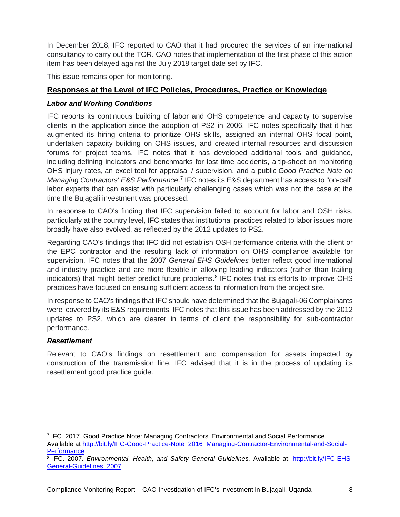In December 2018, IFC reported to CAO that it had procured the services of an international consultancy to carry out the TOR. CAO notes that implementation of the first phase of this action item has been delayed against the July 2018 target date set by IFC.

This issue remains open for monitoring.

#### <span id="page-7-0"></span>**Responses at the Level of IFC Policies, Procedures, Practice or Knowledge**

#### *Labor and Working Conditions*

IFC reports its continuous building of labor and OHS competence and capacity to supervise clients in the application since the adoption of PS2 in 2006. IFC notes specifically that it has augmented its hiring criteria to prioritize OHS skills, assigned an internal OHS focal point, undertaken capacity building on OHS issues, and created internal resources and discussion forums for project teams. IFC notes that it has developed additional tools and guidance, including defining indicators and benchmarks for lost time accidents, a tip-sheet on monitoring OHS injury rates, an excel tool for appraisal / supervision, and a public *Good Practice Note on*  Managing Contractors' E&S Performance.<sup>[7](#page-7-1)</sup> IFC notes its E&S department has access to "on-call" labor experts that can assist with particularly challenging cases which was not the case at the time the Bujagali investment was processed.

In response to CAO's finding that IFC supervision failed to account for labor and OSH risks, particularly at the country level, IFC states that institutional practices related to labor issues more broadly have also evolved, as reflected by the 2012 updates to PS2.

Regarding CAO's findings that IFC did not establish OSH performance criteria with the client or the EPC contractor and the resulting lack of information on OHS compliance available for supervision, IFC notes that the 2007 *General EHS Guidelines* better reflect good international and industry practice and are more flexible in allowing leading indicators (rather than trailing indicators) that might better predict future problems.<sup>[8](#page-7-2)</sup> IFC notes that its efforts to improve OHS practices have focused on ensuing sufficient access to information from the project site.

In response to CAO's findings that IFC should have determined that the Bujagali-06 Complainants were covered by its E&S requirements, IFC notes that this issue has been addressed by the 2012 updates to PS2, which are clearer in terms of client the responsibility for sub-contractor performance.

#### *Resettlement*

 $\overline{\phantom{a}}$ 

Relevant to CAO's findings on resettlement and compensation for assets impacted by construction of the transmission line, IFC advised that it is in the process of updating its resettlement good practice guide.

<span id="page-7-1"></span><sup>7</sup> IFC. 2017. Good Practice Note: Managing Contractors' Environmental and Social Performance. Available at [http://bit.ly/IFC-Good-Practice-Note\\_2016\\_Managing-Contractor-Environmental-and-Social-](http://bit.ly/IFC-Good-Practice-Note_2016_Managing-Contractor-Environmental-and-Social-Performance)**[Performance](http://bit.ly/IFC-Good-Practice-Note_2016_Managing-Contractor-Environmental-and-Social-Performance)** 

<span id="page-7-2"></span><sup>8</sup> IFC. 2007. *Environmental, Health, and Safety General Guidelines.* Available at: [http://bit.ly/IFC-EHS-](http://bit.ly/IFC-EHS-General-Guidelines_2007)[General-Guidelines\\_2007](http://bit.ly/IFC-EHS-General-Guidelines_2007)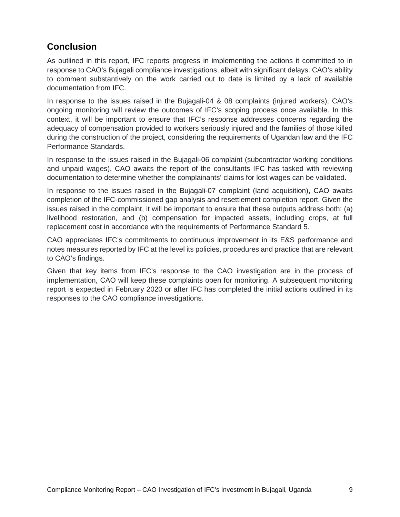### <span id="page-8-0"></span>**Conclusion**

As outlined in this report, IFC reports progress in implementing the actions it committed to in response to CAO's Bujagali compliance investigations, albeit with significant delays. CAO's ability to comment substantively on the work carried out to date is limited by a lack of available documentation from IFC.

In response to the issues raised in the Bujagali-04 & 08 complaints (injured workers), CAO's ongoing monitoring will review the outcomes of IFC's scoping process once available. In this context, it will be important to ensure that IFC's response addresses concerns regarding the adequacy of compensation provided to workers seriously injured and the families of those killed during the construction of the project, considering the requirements of Ugandan law and the IFC Performance Standards.

In response to the issues raised in the Bujagali-06 complaint (subcontractor working conditions and unpaid wages), CAO awaits the report of the consultants IFC has tasked with reviewing documentation to determine whether the complainants' claims for lost wages can be validated.

In response to the issues raised in the Bujagali-07 complaint (land acquisition), CAO awaits completion of the IFC-commissioned gap analysis and resettlement completion report. Given the issues raised in the complaint, it will be important to ensure that these outputs address both: (a) livelihood restoration, and (b) compensation for impacted assets, including crops, at full replacement cost in accordance with the requirements of Performance Standard 5.

CAO appreciates IFC's commitments to continuous improvement in its E&S performance and notes measures reported by IFC at the level its policies, procedures and practice that are relevant to CAO's findings.

Given that key items from IFC's response to the CAO investigation are in the process of implementation, CAO will keep these complaints open for monitoring. A subsequent monitoring report is expected in February 2020 or after IFC has completed the initial actions outlined in its responses to the CAO compliance investigations.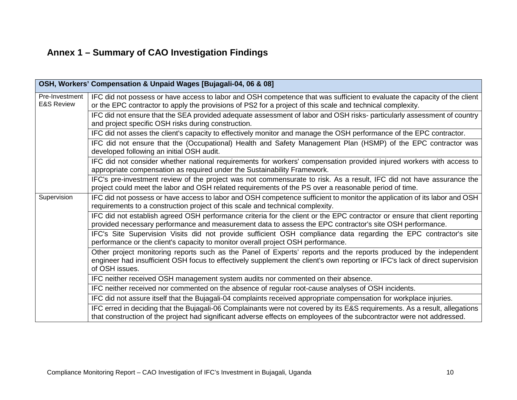## **Annex 1 – Summary of CAO Investigation Findings**

<span id="page-9-0"></span>

|                                         | OSH, Workers' Compensation & Unpaid Wages [Bujagali-04, 06 & 08]                                                                                                                                                                                                     |
|-----------------------------------------|----------------------------------------------------------------------------------------------------------------------------------------------------------------------------------------------------------------------------------------------------------------------|
| Pre-Investment<br><b>E&amp;S Review</b> | IFC did not possess or have access to labor and OSH competence that was sufficient to evaluate the capacity of the client<br>or the EPC contractor to apply the provisions of PS2 for a project of this scale and technical complexity.                              |
|                                         | IFC did not ensure that the SEA provided adequate assessment of labor and OSH risks-particularly assessment of country<br>and project specific OSH risks during construction.                                                                                        |
|                                         | IFC did not asses the client's capacity to effectively monitor and manage the OSH performance of the EPC contractor.                                                                                                                                                 |
|                                         | IFC did not ensure that the (Occupational) Health and Safety Management Plan (HSMP) of the EPC contractor was<br>developed following an initial OSH audit.                                                                                                           |
|                                         | IFC did not consider whether national requirements for workers' compensation provided injured workers with access to<br>appropriate compensation as required under the Sustainability Framework.                                                                     |
|                                         | IFC's pre-investment review of the project was not commensurate to risk. As a result, IFC did not have assurance the<br>project could meet the labor and OSH related requirements of the PS over a reasonable period of time.                                        |
| Supervision                             | IFC did not possess or have access to labor and OSH competence sufficient to monitor the application of its labor and OSH<br>requirements to a construction project of this scale and technical complexity.                                                          |
|                                         | IFC did not establish agreed OSH performance criteria for the client or the EPC contractor or ensure that client reporting<br>provided necessary performance and measurement data to assess the EPC contractor's site OSH performance.                               |
|                                         | IFC's Site Supervision Visits did not provide sufficient OSH compliance data regarding the EPC contractor's site<br>performance or the client's capacity to monitor overall project OSH performance.                                                                 |
|                                         | Other project monitoring reports such as the Panel of Experts' reports and the reports produced by the independent<br>engineer had insufficient OSH focus to effectively supplement the client's own reporting or IFC's lack of direct supervision<br>of OSH issues. |
|                                         | IFC neither received OSH management system audits nor commented on their absence.                                                                                                                                                                                    |
|                                         | IFC neither received nor commented on the absence of regular root-cause analyses of OSH incidents.                                                                                                                                                                   |
|                                         | IFC did not assure itself that the Bujagali-04 complaints received appropriate compensation for workplace injuries.                                                                                                                                                  |
|                                         | IFC erred in deciding that the Bujagali-06 Complainants were not covered by its E&S requirements. As a result, allegations<br>that construction of the project had significant adverse effects on employees of the subcontractor were not addressed.                 |